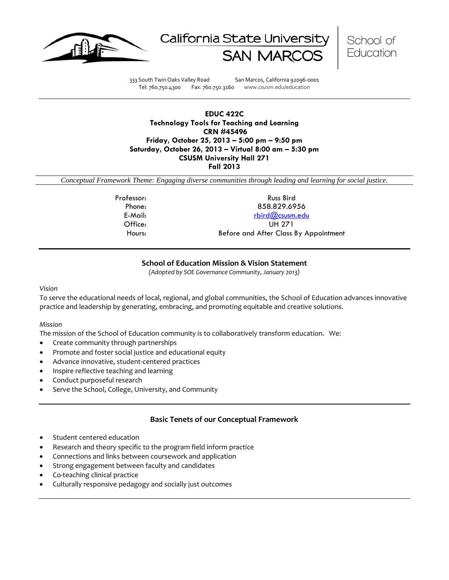





333 South Twin Oaks Valley Road San Marcos, California 92096-0001 Tel: 760.750.4300 Fax: 760.750.3160 www.csusm.edu/education

## **EDUC 422C Technology Tools for Teaching and Learning CRN #45496 Friday, October 25, 2013 – 5:00 pm – 9:50 pm Saturday, October 26, 2013 – Virtual 8:00 am – 5:30 pm CSUSM University Hall 271 Fall 2013**

*Conceptual Framework Theme: Engaging diverse communities through leading and learning for social justice.*

Professor: Russ Bird Phone: 858.829.6956 E-Mail: [rbird@csusm.edu](mailto:rbird@csusm.edu) Office: UH 271 Hours: Before and After Class By Appointment

# **School of Education Mission & Vision Statement**

*(Adopted by SOE Governance Community, January 2013)*

#### *Vision*

To serve the educational needs of local, regional, and global communities, the School of Education advances innovative practice and leadership by generating, embracing, and promoting equitable and creative solutions.

## *Mission*

The mission of the School of Education community is to collaboratively transform education. We:

- Create community through partnerships
- Promote and foster social justice and educational equity
- Advance innovative, student-centered practices
- Inspire reflective teaching and learning
- Conduct purposeful research
- Serve the School, College, University, and Community

# **Basic Tenets of our Conceptual Framework**

- Student centered education
- Research and theory specific to the program field inform practice
- Connections and links between coursework and application
- Strong engagement between faculty and candidates
- Co-teaching clinical practice
- Culturally responsive pedagogy and socially just outcomes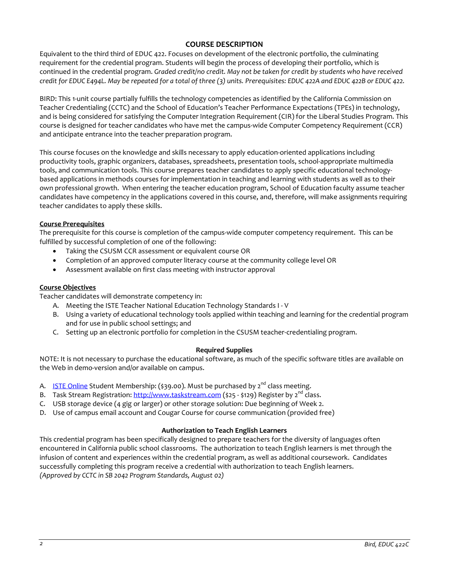# **COURSE DESCRIPTION**

Equivalent to the third third of EDUC 422. Focuses on development of the electronic portfolio, the culminating requirement for the credential program. Students will begin the process of developing their portfolio, which is continued in the credential program. *Graded credit/no credit. May not be taken for credit by students who have received credit for EDUC E494L. May be repeated for a total of three (3) units. Prerequisites: EDUC 422A and EDUC 422B or EDUC 422.*

BIRD: This 1-unit course partially fulfills the technology competencies as identified by the California Commission on Teacher Credentialing (CCTC) and the School of Education's Teacher Performance Expectations (TPEs) in technology, and is being considered for satisfying the Computer Integration Requirement (CIR) for the Liberal Studies Program. This course is designed for teacher candidates who have met the campus-wide Computer Competency Requirement (CCR) and anticipate entrance into the teacher preparation program.

This course focuses on the knowledge and skills necessary to apply education-oriented applications including productivity tools, graphic organizers, databases, spreadsheets, presentation tools, school-appropriate multimedia tools, and communication tools. This course prepares teacher candidates to apply specific educational technologybased applications in methods courses for implementation in teaching and learning with students as well as to their own professional growth. When entering the teacher education program, School of Education faculty assume teacher candidates have competency in the applications covered in this course, and, therefore, will make assignments requiring teacher candidates to apply these skills.

## **Course Prerequisites**

The prerequisite for this course is completion of the campus-wide computer competency requirement. This can be fulfilled by successful completion of one of the following:

- Taking the CSUSM CCR assessment or equivalent course OR
- Completion of an approved computer literacy course at the community college level OR
- Assessment available on first class meeting with instructor approval

## **Course Objectives**

Teacher candidates will demonstrate competency in:

- A. Meeting the ISTE Teacher National Education Technology Standards I V
- B. Using a variety of educational technology tools applied within teaching and learning for the credential program and for use in public school settings; and
- C. Setting up an electronic portfolio for completion in the CSUSM teacher-credentialing program.

## **Required Supplies**

NOTE: It is not necessary to purchase the educational software, as much of the specific software titles are available on the Web in demo-version and/or available on campus.

- A. **[ISTE Online](http://www.google.com/url?q=http%3A%2F%2Fwww.iste.org&sa=D&sntz=1&usg=AFQjCNF6stTT3JrR7_WM904Vk5P6PItkKg) Student Membership:** (\$39.00). Must be purchased by  $2^{nd}$  class meeting.
- B. Task Stream Registration: [http://www.taskstream.com](http://www.google.com/url?q=http%3A%2F%2Fwww.taskstream.com&sa=D&sntz=1&usg=AFQjCNHOd15IzWSqImfDsL6_OUheLA7dqA) (\$25 \$129) Register by  $2^{nd}$  class.
- C. USB storage device (4 gig or larger) or other storage solution: Due beginning of Week 2.
- D. Use of campus email account and Cougar Course for course communication (provided free)

## **Authorization to Teach English Learners**

This credential program has been specifically designed to prepare teachers for the diversity of languages often encountered in California public school classrooms. The authorization to teach English learners is met through the infusion of content and experiences within the credential program, as well as additional coursework. Candidates successfully completing this program receive a credential with authorization to teach English learners. *(Approved by CCTC in SB 2042 Program Standards, August 02)*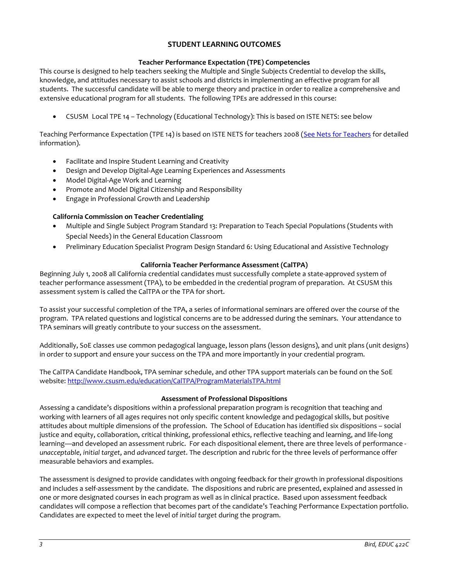# **STUDENT LEARNING OUTCOMES**

## **Teacher Performance Expectation (TPE) Competencies**

This course is designed to help teachers seeking the Multiple and Single Subjects Credential to develop the skills, knowledge, and attitudes necessary to assist schools and districts in implementing an effective program for all students. The successful candidate will be able to merge theory and practice in order to realize a comprehensive and extensive educational program for all students. The following TPEs are addressed in this course:

• CSUSM Local TPE 14 – Technology (Educational Technology): This is based on ISTE NETS: see below

Teaching Performance Expectation (TPE 14) is based on ISTE NETS for teachers 2008 [\(See Nets for Teachers](http://www.google.com/url?q=http%3A%2F%2Fwww.iste.org%2FContent%2FNavigationMenu%2FNETS%2FForTeachers%2F2008Standards%2FNETS_T_Standards_Final.pdf&sa=D&sntz=1&usg=AFQjCNEz4PHdtAi9l905hV3nyMzx8A1RQg) for detailed information).

- Facilitate and Inspire Student Learning and Creativity
- Design and Develop Digital-Age Learning Experiences and Assessments
- Model Digital-Age Work and Learning
- Promote and Model Digital Citizenship and Responsibility
- Engage in Professional Growth and Leadership

## **California Commission on Teacher Credentialing**

- Multiple and Single Subject Program Standard 13: Preparation to Teach Special Populations (Students with Special Needs) in the General Education Classroom
- Preliminary Education Specialist Program Design Standard 6: Using Educational and Assistive Technology

#### **California Teacher Performance Assessment (CalTPA)**

Beginning July 1, 2008 all California credential candidates must successfully complete a state-approved system of teacher performance assessment (TPA), to be embedded in the credential program of preparation. At CSUSM this assessment system is called the CalTPA or the TPA for short.

To assist your successful completion of the TPA, a series of informational seminars are offered over the course of the program. TPA related questions and logistical concerns are to be addressed during the seminars. Your attendance to TPA seminars will greatly contribute to your success on the assessment.

Additionally, SoE classes use common pedagogical language, lesson plans (lesson designs), and unit plans (unit designs) in order to support and ensure your success on the TPA and more importantly in your credential program.

The CalTPA Candidate Handbook, TPA seminar schedule, and other TPA support materials can be found on the SoE website: <http://www.csusm.edu/education/CalTPA/ProgramMaterialsTPA.html>

#### **Assessment of Professional Dispositions**

Assessing a candidate's dispositions within a professional preparation program is recognition that teaching and working with learners of all ages requires not only specific content knowledge and pedagogical skills, but positive attitudes about multiple dimensions of the profession. The School of Education has identified six dispositions – social justice and equity, collaboration, critical thinking, professional ethics, reflective teaching and learning, and life-long learning—and developed an assessment rubric. For each dispositional element, there are three levels of performance *unacceptable*, *initial target*, and *advanced target*. The description and rubric for the three levels of performance offer measurable behaviors and examples.

The assessment is designed to provide candidates with ongoing feedback for their growth in professional dispositions and includes a self-assessment by the candidate. The dispositions and rubric are presented, explained and assessed in one or more designated courses in each program as well as in clinical practice. Based upon assessment feedback candidates will compose a reflection that becomes part of the candidate's Teaching Performance Expectation portfolio. Candidates are expected to meet the level of *initial target* during the program.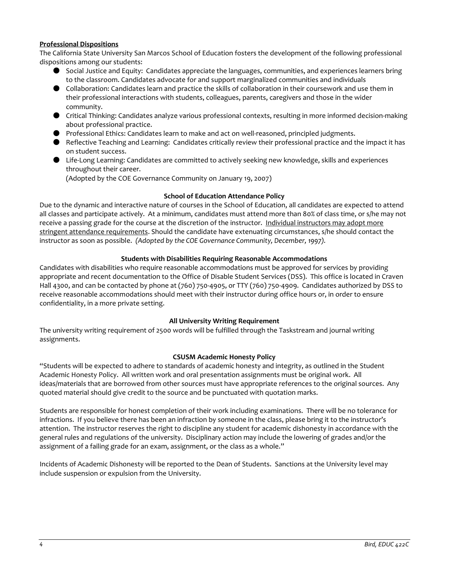## **Professional Dispositions**

The California State University San Marcos School of Education fosters the development of the following professional dispositions among our students:

- Social Justice and Equity: Candidates appreciate the languages, communities, and experiences learners bring to the classroom. Candidates advocate for and support marginalized communities and individuals
- Collaboration: Candidates learn and practice the skills of collaboration in their coursework and use them in their professional interactions with students, colleagues, parents, caregivers and those in the wider community.
- Critical Thinking: Candidates analyze various professional contexts, resulting in more informed decision-making about professional practice.
- Professional Ethics: Candidates learn to make and act on well-reasoned, principled judgments.
- Reflective Teaching and Learning: Candidates critically review their professional practice and the impact it has on student success.
- Life-Long Learning: Candidates are committed to actively seeking new knowledge, skills and experiences throughout their career.

(Adopted by the COE Governance Community on January 19, 2007)

## **School of Education Attendance Policy**

Due to the dynamic and interactive nature of courses in the School of Education, all candidates are expected to attend all classes and participate actively. At a minimum, candidates must attend more than 80% of class time, or s/he may not receive a passing grade for the course at the discretion of the instructor. Individual instructors may adopt more stringent attendance requirements. Should the candidate have extenuating circumstances, s/he should contact the instructor as soon as possible. *(Adopted by the COE Governance Community, December, 1997).*

## **Students with Disabilities Requiring Reasonable Accommodations**

Candidates with disabilities who require reasonable accommodations must be approved for services by providing appropriate and recent documentation to the Office of Disable Student Services (DSS). This office is located in Craven Hall 4300, and can be contacted by phone at (760) 750-4905, or TTY (760) 750-4909. Candidates authorized by DSS to receive reasonable accommodations should meet with their instructor during office hours or, in order to ensure confidentiality, in a more private setting.

## **All University Writing Requirement**

The university writing requirement of 2500 words will be fulfilled through the Taskstream and journal writing assignments.

## **CSUSM Academic Honesty Policy**

"Students will be expected to adhere to standards of academic honesty and integrity, as outlined in the Student Academic Honesty Policy. All written work and oral presentation assignments must be original work. All ideas/materials that are borrowed from other sources must have appropriate references to the original sources. Any quoted material should give credit to the source and be punctuated with quotation marks.

Students are responsible for honest completion of their work including examinations. There will be no tolerance for infractions. If you believe there has been an infraction by someone in the class, please bring it to the instructor's attention. The instructor reserves the right to discipline any student for academic dishonesty in accordance with the general rules and regulations of the university. Disciplinary action may include the lowering of grades and/or the assignment of a failing grade for an exam, assignment, or the class as a whole."

Incidents of Academic Dishonesty will be reported to the Dean of Students. Sanctions at the University level may include suspension or expulsion from the University.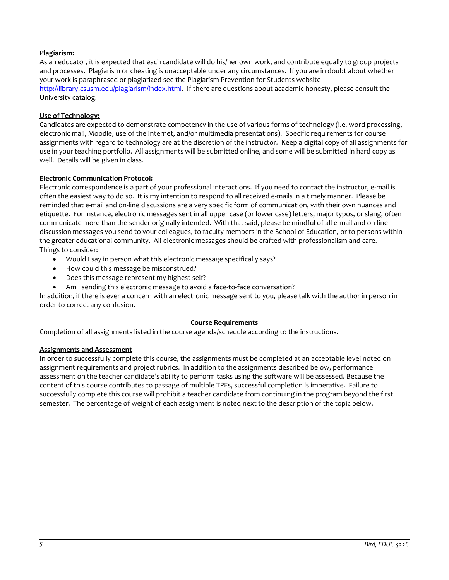## **Plagiarism:**

As an educator, it is expected that each candidate will do his/her own work, and contribute equally to group projects and processes. Plagiarism or cheating is unacceptable under any circumstances. If you are in doubt about whether your work is paraphrased or plagiarized see the Plagiarism Prevention for Students website [http://library.csusm.edu/plagiarism/index.html.](http://library.csusm.edu/plagiarism/index.html) If there are questions about academic honesty, please consult the University catalog.

## **Use of Technology:**

Candidates are expected to demonstrate competency in the use of various forms of technology (i.e. word processing, electronic mail, Moodle, use of the Internet, and/or multimedia presentations). Specific requirements for course assignments with regard to technology are at the discretion of the instructor. Keep a digital copy of all assignments for use in your teaching portfolio. All assignments will be submitted online, and some will be submitted in hard copy as well. Details will be given in class.

## **Electronic Communication Protocol:**

Electronic correspondence is a part of your professional interactions. If you need to contact the instructor, e-mail is often the easiest way to do so. It is my intention to respond to all received e-mails in a timely manner. Please be reminded that e-mail and on-line discussions are a very specific form of communication, with their own nuances and etiquette. For instance, electronic messages sent in all upper case (or lower case) letters, major typos, or slang, often communicate more than the sender originally intended. With that said, please be mindful of all e-mail and on-line discussion messages you send to your colleagues, to faculty members in the School of Education, or to persons within the greater educational community. All electronic messages should be crafted with professionalism and care. Things to consider:

- Would I say in person what this electronic message specifically says?
- How could this message be misconstrued?
- Does this message represent my highest self?
- Am I sending this electronic message to avoid a face-to-face conversation?

In addition, if there is ever a concern with an electronic message sent to you, please talk with the author in person in order to correct any confusion.

## **Course Requirements**

Completion of all assignments listed in the course agenda/schedule according to the instructions.

## **Assignments and Assessment**

In order to successfully complete this course, the assignments must be completed at an acceptable level noted on assignment requirements and project rubrics. In addition to the assignments described below, performance assessment on the teacher candidate's ability to perform tasks using the software will be assessed. Because the content of this course contributes to passage of multiple TPEs, successful completion is imperative. Failure to successfully complete this course will prohibit a teacher candidate from continuing in the program beyond the first semester. The percentage of weight of each assignment is noted next to the description of the topic below.